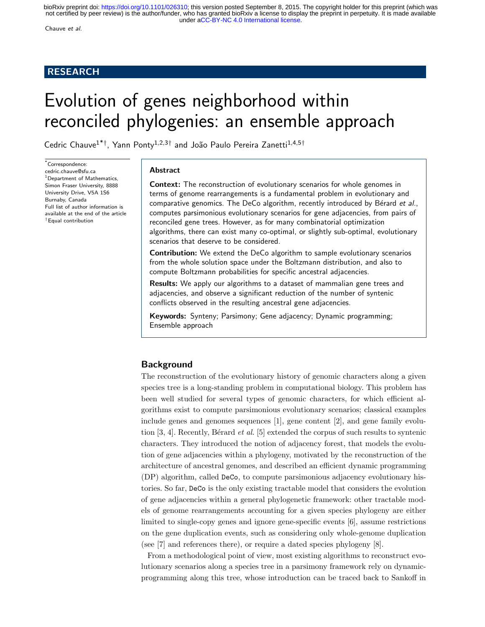Chauve et al.

## RESEARCH

# Evolution of genes neighborhood within reconciled phylogenies: an ensemble approach

Cedric Chauve<sup>1\*†</sup>, Yann Ponty<sup>1,2,3†</sup> and João Paulo Pereira Zanetti<sup>1,4,5†</sup>

\*Correspondence: cedric.chauve@sfu.ca <sup>1</sup>Department of Mathematics, Simon Fraser University, 8888 University Drive, V5A 1S6 Burnaby, Canada Full list of author information is available at the end of the article †Equal contribution

## **Abstract**

Context: The reconstruction of evolutionary scenarios for whole genomes in terms of genome rearrangements is a fundamental problem in evolutionary and comparative genomics. The DeCo algorithm, recently introduced by Bérard et al., computes parsimonious evolutionary scenarios for gene adjacencies, from pairs of reconciled gene trees. However, as for many combinatorial optimization algorithms, there can exist many co-optimal, or slightly sub-optimal, evolutionary scenarios that deserve to be considered.

Contribution: We extend the DeCo algorithm to sample evolutionary scenarios from the whole solution space under the Boltzmann distribution, and also to compute Boltzmann probabilities for specific ancestral adjacencies.

Results: We apply our algorithms to a dataset of mammalian gene trees and adjacencies, and observe a significant reduction of the number of syntenic conflicts observed in the resulting ancestral gene adjacencies.

Keywords: Synteny; Parsimony; Gene adjacency; Dynamic programming; Ensemble approach

## Background

The reconstruction of the evolutionary history of genomic characters along a given species tree is a long-standing problem in computational biology. This problem has been well studied for several types of genomic characters, for which efficient algorithms exist to compute parsimonious evolutionary scenarios; classical examples include genes and genomes sequences [1], gene content [2], and gene family evolution  $[3, 4]$ . Recently, Bérard et al.  $[5]$  extended the corpus of such results to syntenic characters. They introduced the notion of adjacency forest, that models the evolution of gene adjacencies within a phylogeny, motivated by the reconstruction of the architecture of ancestral genomes, and described an efficient dynamic programming (DP) algorithm, called DeCo, to compute parsimonious adjacency evolutionary histories. So far, DeCo is the only existing tractable model that considers the evolution of gene adjacencies within a general phylogenetic framework: other tractable models of genome rearrangements accounting for a given species phylogeny are either limited to single-copy genes and ignore gene-specific events [6], assume restrictions on the gene duplication events, such as considering only whole-genome duplication (see [7] and references there), or require a dated species phylogeny [8].

From a methodological point of view, most existing algorithms to reconstruct evolutionary scenarios along a species tree in a parsimony framework rely on dynamicprogramming along this tree, whose introduction can be traced back to Sankoff in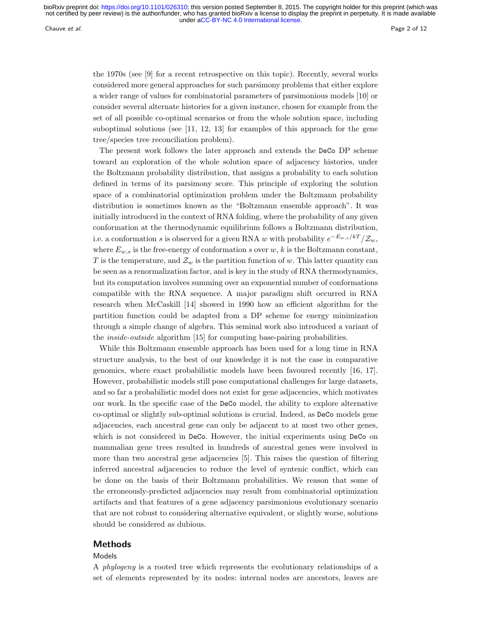Chauve *et al.* Page 2 of 12

the 1970s (see [9] for a recent retrospective on this topic). Recently, several works considered more general approaches for such parsimony problems that either explore a wider range of values for combinatorial parameters of parsimonious models [10] or consider several alternate histories for a given instance, chosen for example from the set of all possible co-optimal scenarios or from the whole solution space, including suboptimal solutions (see [11, 12, 13] for examples of this approach for the gene tree/species tree reconciliation problem).

The present work follows the later approach and extends the DeCo DP scheme toward an exploration of the whole solution space of adjacency histories, under the Boltzmann probability distribution, that assigns a probability to each solution defined in terms of its parsimony score. This principle of exploring the solution space of a combinatorial optimization problem under the Boltzmann probability distribution is sometimes known as the "Boltzmann ensemble approach". It was initially introduced in the context of RNA folding, where the probability of any given conformation at the thermodynamic equilibrium follows a Boltzmann distribution, i.e. a conformation s is observed for a given RNA w with probability  $e^{-E_{w,s}/kT}/\mathcal{Z}_w$ , where  $E_{w,s}$  is the free-energy of conformation s over w, k is the Boltzmann constant, T is the temperature, and  $\mathcal{Z}_w$  is the partition function of w. This latter quantity can be seen as a renormalization factor, and is key in the study of RNA thermodynamics, but its computation involves summing over an exponential number of conformations compatible with the RNA sequence. A major paradigm shift occurred in RNA research when McCaskill [14] showed in 1990 how an efficient algorithm for the partition function could be adapted from a DP scheme for energy minimization through a simple change of algebra. This seminal work also introduced a variant of the inside-outside algorithm [15] for computing base-pairing probabilities.

While this Boltzmann ensemble approach has been used for a long time in RNA structure analysis, to the best of our knowledge it is not the case in comparative genomics, where exact probabilistic models have been favoured recently [16, 17]. However, probabilistic models still pose computational challenges for large datasets, and so far a probabilistic model does not exist for gene adjacencies, which motivates our work. In the specific case of the DeCo model, the ability to explore alternative co-optimal or slightly sub-optimal solutions is crucial. Indeed, as DeCo models gene adjacencies, each ancestral gene can only be adjacent to at most two other genes, which is not considered in DeCo. However, the initial experiments using DeCo on mammalian gene trees resulted in hundreds of ancestral genes were involved in more than two ancestral gene adjacencies [5]. This raises the question of filtering inferred ancestral adjacencies to reduce the level of syntenic conflict, which can be done on the basis of their Boltzmann probabilities. We reason that some of the erroneously-predicted adjacencies may result from combinatorial optimization artifacts and that features of a gene adjacency parsimonious evolutionary scenario that are not robust to considering alternative equivalent, or slightly worse, solutions should be considered as dubious.

## Methods

### Models

A phylogeny is a rooted tree which represents the evolutionary relationships of a set of elements represented by its nodes: internal nodes are ancestors, leaves are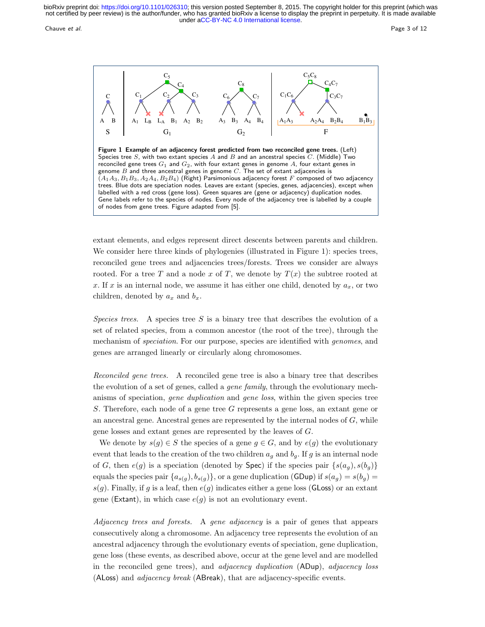Chauve *et al.* Page 3 of 12



extant elements, and edges represent direct descents between parents and children. We consider here three kinds of phylogenies (illustrated in Figure 1): species trees, reconciled gene trees and adjacencies trees/forests. Trees we consider are always rooted. For a tree T and a node x of T, we denote by  $T(x)$  the subtree rooted at x. If x is an internal node, we assume it has either one child, denoted by  $a_x$ , or two children, denoted by  $a_x$  and  $b_x$ .

Species trees. A species tree S is a binary tree that describes the evolution of a set of related species, from a common ancestor (the root of the tree), through the mechanism of *speciation*. For our purpose, species are identified with *genomes*, and genes are arranged linearly or circularly along chromosomes.

Reconciled gene trees. A reconciled gene tree is also a binary tree that describes the evolution of a set of genes, called a *gene family*, through the evolutionary mechanisms of speciation, *gene duplication* and *gene loss*, within the given species tree S. Therefore, each node of a gene tree G represents a gene loss, an extant gene or an ancestral gene. Ancestral genes are represented by the internal nodes of  $G$ , while gene losses and extant genes are represented by the leaves of G.

We denote by  $s(g) \in S$  the species of a gene  $g \in G$ , and by  $e(g)$  the evolutionary event that leads to the creation of the two children  $a_g$  and  $b_g$ . If g is an internal node of G, then  $e(g)$  is a speciation (denoted by Spec) if the species pair  $\{s(a_g), s(b_g)\}$ equals the species pair  $\{a_{s(q)}, b_{s(q)}\}$ , or a gene duplication (GDup) if  $s(a_q) = s(b_q)$  $s(g)$ . Finally, if g is a leaf, then  $e(g)$  indicates either a gene loss (GLoss) or an extant gene (Extant), in which case  $e(g)$  is not an evolutionary event.

Adjacency trees and forests. A gene adjacency is a pair of genes that appears consecutively along a chromosome. An adjacency tree represents the evolution of an ancestral adjacency through the evolutionary events of speciation, gene duplication, gene loss (these events, as described above, occur at the gene level and are modelled in the reconciled gene trees), and adjacency duplication (ADup), adjacency loss (ALoss) and  $adjacency\ break$  (ABreak), that are adjacency-specific events.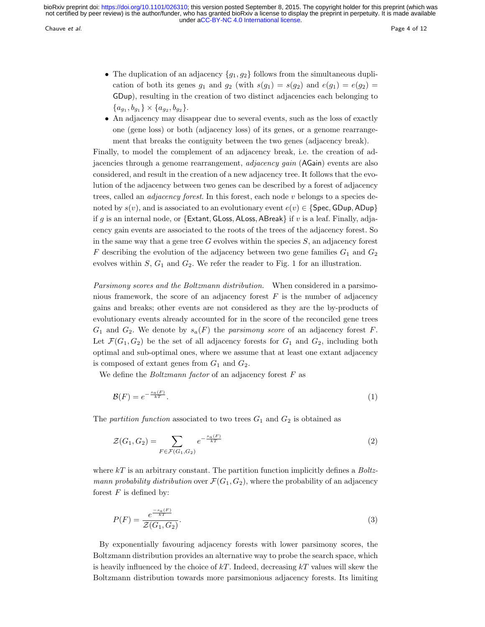- The duplication of an adjacency  ${g_1, g_2}$  follows from the simultaneous duplication of both its genes  $g_1$  and  $g_2$  (with  $s(g_1) = s(g_2)$  and  $e(g_1) = e(g_2)$ GDup), resulting in the creation of two distinct adjacencies each belonging to  ${a_{g_1}, b_{g_1} \} \times {a_{g_2}, b_{g_2}}.$
- An adjacency may disappear due to several events, such as the loss of exactly one (gene loss) or both (adjacency loss) of its genes, or a genome rearrangement that breaks the contiguity between the two genes (adjacency break).

Finally, to model the complement of an adjacency break, i.e. the creation of adjacencies through a genome rearrangement, adjacency gain (AGain) events are also considered, and result in the creation of a new adjacency tree. It follows that the evolution of the adjacency between two genes can be described by a forest of adjacency trees, called an *adjacency forest*. In this forest, each node v belongs to a species denoted by  $s(v)$ , and is associated to an evolutionary event  $e(v) \in \{\text{Spec}, \text{GDup}, \text{ADup}\}\$ if q is an internal node, or  $\{$ Extant, GLoss, ALoss, ABreak $\}$  if v is a leaf. Finally, adjacency gain events are associated to the roots of the trees of the adjacency forest. So in the same way that a gene tree  $G$  evolves within the species  $S$ , an adjacency forest  $F$  describing the evolution of the adjacency between two gene families  $G_1$  and  $G_2$ evolves within  $S$ ,  $G_1$  and  $G_2$ . We refer the reader to Fig. 1 for an illustration.

Parsimony scores and the Boltzmann distribution. When considered in a parsimonious framework, the score of an adjacency forest  $F$  is the number of adjacency gains and breaks; other events are not considered as they are the by-products of evolutionary events already accounted for in the score of the reconciled gene trees  $G_1$  and  $G_2$ . We denote by  $s_a(F)$  the parsimony score of an adjacency forest F. Let  $\mathcal{F}(G_1, G_2)$  be the set of all adjacency forests for  $G_1$  and  $G_2$ , including both optimal and sub-optimal ones, where we assume that at least one extant adjacency is composed of extant genes from  $G_1$  and  $G_2$ .

We define the *Boltzmann factor* of an adjacency forest  $F$  as

$$
\mathcal{B}(F) = e^{-\frac{s_a(F)}{kT}}.\tag{1}
$$

The partition function associated to two trees  $G_1$  and  $G_2$  is obtained as

$$
\mathcal{Z}(G_1, G_2) = \sum_{F \in \mathcal{F}(G_1, G_2)} e^{-\frac{s_a(F)}{kT}}
$$
\n
$$
(2)
$$

where  $kT$  is an arbitrary constant. The partition function implicitly defines a Boltzmann probability distribution over  $\mathcal{F}(G_1, G_2)$ , where the probability of an adjacency forest  $F$  is defined by:

$$
P(F) = \frac{e^{\frac{-s_a(F)}{kT}}}{\mathcal{Z}(G_1, G_2)}.
$$
\n(3)

By exponentially favouring adjacency forests with lower parsimony scores, the Boltzmann distribution provides an alternative way to probe the search space, which is heavily influenced by the choice of  $kT$ . Indeed, decreasing  $kT$  values will skew the Boltzmann distribution towards more parsimonious adjacency forests. Its limiting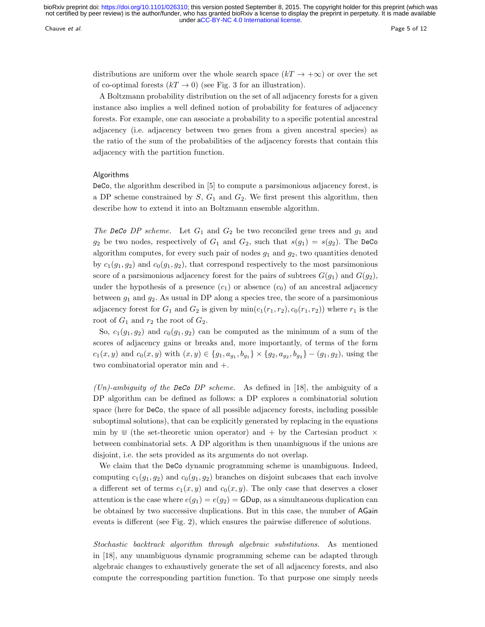Chauve *et al.* Page 5 of 12

distributions are uniform over the whole search space  $(kT \rightarrow +\infty)$  or over the set of co-optimal forests  $(kT \rightarrow 0)$  (see Fig. 3 for an illustration).

A Boltzmann probability distribution on the set of all adjacency forests for a given instance also implies a well defined notion of probability for features of adjacency forests. For example, one can associate a probability to a specific potential ancestral adjacency (i.e. adjacency between two genes from a given ancestral species) as the ratio of the sum of the probabilities of the adjacency forests that contain this adjacency with the partition function.

#### Algorithms

DeCo, the algorithm described in [5] to compute a parsimonious adjacency forest, is a DP scheme constrained by  $S$ ,  $G_1$  and  $G_2$ . We first present this algorithm, then describe how to extend it into an Boltzmann ensemble algorithm.

The DeCo DP scheme. Let  $G_1$  and  $G_2$  be two reconciled gene trees and  $g_1$  and  $g_2$  be two nodes, respectively of  $G_1$  and  $G_2$ , such that  $s(g_1) = s(g_2)$ . The DeCo algorithm computes, for every such pair of nodes  $g_1$  and  $g_2$ , two quantities denoted by  $c_1(g_1, g_2)$  and  $c_0(g_1, g_2)$ , that correspond respectively to the most parsimonious score of a parsimonious adjacency forest for the pairs of subtrees  $G(q_1)$  and  $G(q_2)$ , under the hypothesis of a presence  $(c_1)$  or absence  $(c_0)$  of an ancestral adjacency between  $g_1$  and  $g_2$ . As usual in DP along a species tree, the score of a parsimonious adjacency forest for  $G_1$  and  $G_2$  is given by  $min(c_1(r_1, r_2), c_0(r_1, r_2))$  where  $r_1$  is the root of  $G_1$  and  $r_2$  the root of  $G_2$ .

So,  $c_1(g_1, g_2)$  and  $c_0(g_1, g_2)$  can be computed as the minimum of a sum of the scores of adjacency gains or breaks and, more importantly, of terms of the form  $c_1(x, y)$  and  $c_0(x, y)$  with  $(x, y) \in \{g_1, a_{g_1}, b_{g_1}\} \times \{g_2, a_{g_2}, b_{g_2}\} - (g_1, g_2)$ , using the two combinatorial operator min and +.

 $(Un)$ -ambiguity of the DeCo DP scheme. As defined in [18], the ambiguity of a DP algorithm can be defined as follows: a DP explores a combinatorial solution space (here for DeCo, the space of all possible adjacency forests, including possible suboptimal solutions), that can be explicitly generated by replacing in the equations min by  $\mathbb{U}$  (the set-theoretic union operator) and + by the Cartesian product  $\times$ between combinatorial sets. A DP algorithm is then unambiguous if the unions are disjoint, i.e. the sets provided as its arguments do not overlap.

We claim that the DeCo dynamic programming scheme is unambiguous. Indeed, computing  $c_1(g_1, g_2)$  and  $c_0(g_1, g_2)$  branches on disjoint subcases that each involve a different set of terms  $c_1(x, y)$  and  $c_0(x, y)$ . The only case that deserves a closer attention is the case where  $e(g_1) = e(g_2) = \text{GDup}$ , as a simultaneous duplication can be obtained by two successive duplications. But in this case, the number of AGain events is different (see Fig. 2), which ensures the pairwise difference of solutions.

Stochastic backtrack algorithm through algebraic substitutions. As mentioned in [18], any unambiguous dynamic programming scheme can be adapted through algebraic changes to exhaustively generate the set of all adjacency forests, and also compute the corresponding partition function. To that purpose one simply needs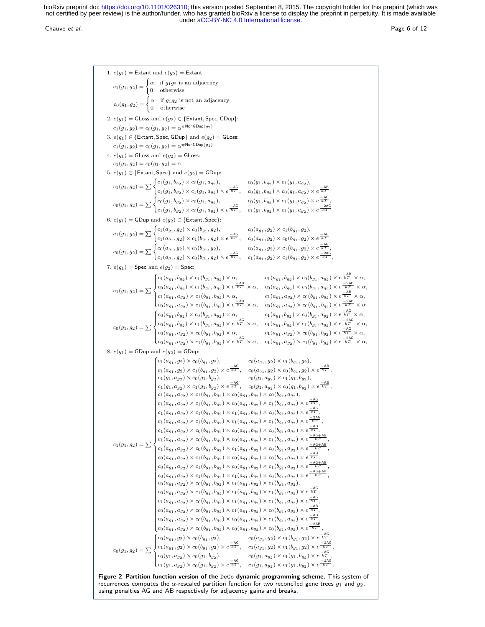not certified by peer review) is the author/funder, who has granted bioRxiv a license to display the preprint in perpetuity. It is made available<br>under [aCC-BY-NC 4.0 International license.](http://creativecommons.org/licenses/by-nc/4.0/) bioRxiv preprint doi: [https://doi.org/10.1101/026310;](https://doi.org/10.1101/026310) this version posted September 8, 2015. The copyright holder for this preprint (which was

Chauve *et al.* Page 6 of 12

| 1. $e(q_1)$ = Extant and $e(q_2)$ = Extant:                                                                                                                                                                                                                                                                                                                                                                                      |                                                                                                                                                                                                                                                                                                                                                                                                                                                                                                                                                                                                       |  |                                                                                               |  |  |  |  |  |
|----------------------------------------------------------------------------------------------------------------------------------------------------------------------------------------------------------------------------------------------------------------------------------------------------------------------------------------------------------------------------------------------------------------------------------|-------------------------------------------------------------------------------------------------------------------------------------------------------------------------------------------------------------------------------------------------------------------------------------------------------------------------------------------------------------------------------------------------------------------------------------------------------------------------------------------------------------------------------------------------------------------------------------------------------|--|-----------------------------------------------------------------------------------------------|--|--|--|--|--|
| $c_1(g_1, g_2) = \begin{cases} \alpha & \text{if } g_1 g_2 \text{ is an adjacency} \\ 0 & \text{otherwise} \end{cases}$<br>$c_0(g_1, g_2) = \begin{cases} \alpha & \text{if } g_1 g_2 \text{ is not an adjacency} \\ 0 & \text{otherwise} \end{cases}$                                                                                                                                                                           |                                                                                                                                                                                                                                                                                                                                                                                                                                                                                                                                                                                                       |  |                                                                                               |  |  |  |  |  |
|                                                                                                                                                                                                                                                                                                                                                                                                                                  |                                                                                                                                                                                                                                                                                                                                                                                                                                                                                                                                                                                                       |  |                                                                                               |  |  |  |  |  |
|                                                                                                                                                                                                                                                                                                                                                                                                                                  |                                                                                                                                                                                                                                                                                                                                                                                                                                                                                                                                                                                                       |  |                                                                                               |  |  |  |  |  |
| 2. $e(g_1)$ = GLoss and $e(g_2) \in \{ \text{Extant}, \text{Spec}, \text{GDup} \}$ :<br>$c_1(g_1,g_2)=c_0(g_1,g_2)=\alpha^{\#\mathrm{\sf NonGDup}(g_2)}$                                                                                                                                                                                                                                                                         |                                                                                                                                                                                                                                                                                                                                                                                                                                                                                                                                                                                                       |  |                                                                                               |  |  |  |  |  |
| 3. $e(g_1) \in \{\text{Extant}, \text{Spec}, \text{GDup}\}$ and $e(g_2) = \text{GLoss}$ :                                                                                                                                                                                                                                                                                                                                        |                                                                                                                                                                                                                                                                                                                                                                                                                                                                                                                                                                                                       |  |                                                                                               |  |  |  |  |  |
| $c_1(g_1,g_2)=c_0(g_1,g_2)=\alpha^{\#\textsf{NonG Dup}(g_1)}$                                                                                                                                                                                                                                                                                                                                                                    |                                                                                                                                                                                                                                                                                                                                                                                                                                                                                                                                                                                                       |  |                                                                                               |  |  |  |  |  |
| 4. $e(g_1)$ = GLoss and $e(g_2)$ = GLoss:                                                                                                                                                                                                                                                                                                                                                                                        |                                                                                                                                                                                                                                                                                                                                                                                                                                                                                                                                                                                                       |  |                                                                                               |  |  |  |  |  |
| $c_1(g_1,g_2)=c_0(g_1,g_2)=\alpha$<br>5. $e(g_1) \in \{\text{Extant}, \text{Spec}\}\$ and $e(g_2) = \text{GDup}$ :                                                                                                                                                                                                                                                                                                               |                                                                                                                                                                                                                                                                                                                                                                                                                                                                                                                                                                                                       |  |                                                                                               |  |  |  |  |  |
| $\begin{split} c_1(g_1,g_2) = \sum \begin{cases} c_1(g_1,b_{g_2}) \times c_0(g_1,a_{g_2}), & c_0(g_1,b_{g_2}) \times c_1(g_1,a_{g_2}), \\ c_1(g_1,b_{g_2}) \times c_1(g_1,a_{g_2}) \times e^{\frac{-\text{AG}}{\text{k} \cdot T}}, & c_0(g_1,b_{g_2}) \times c_0(g_1,a_{g_2}) \times e^{\frac{-\text{AG}}{\text{k} \cdot T}} \end{cases} \\ c_0(g_1,g_2) = \sum \begin{cases} c_0(g_1,b_{g_2}) \times c_0(g_1,a_{g_2}),$         |                                                                                                                                                                                                                                                                                                                                                                                                                                                                                                                                                                                                       |  |                                                                                               |  |  |  |  |  |
|                                                                                                                                                                                                                                                                                                                                                                                                                                  |                                                                                                                                                                                                                                                                                                                                                                                                                                                                                                                                                                                                       |  |                                                                                               |  |  |  |  |  |
|                                                                                                                                                                                                                                                                                                                                                                                                                                  |                                                                                                                                                                                                                                                                                                                                                                                                                                                                                                                                                                                                       |  |                                                                                               |  |  |  |  |  |
| 6. $e(g_1)$ = GDup and $e(g_2) \in \{ \text{Extant}, \text{Spec} \}$ :                                                                                                                                                                                                                                                                                                                                                           |                                                                                                                                                                                                                                                                                                                                                                                                                                                                                                                                                                                                       |  |                                                                                               |  |  |  |  |  |
|                                                                                                                                                                                                                                                                                                                                                                                                                                  |                                                                                                                                                                                                                                                                                                                                                                                                                                                                                                                                                                                                       |  |                                                                                               |  |  |  |  |  |
| $e(g_1) =$ GDUP and $e(g_2) = \sum \begin{cases} c_1(a_{g_1}, g_2) \times c_0(b_{g_1}, g_2), & c_0(a_{g_1}, g_2) \times c_1(b_{g_1}, g_2), \\ c_1(a_{g_1}, g_2) \times c_1(b_{g_1}, g_2) \times e^{-\frac{\Delta G}{kT}}, & c_0(a_{g_1}, g_2) \times c_0(b_{g_1}, g_2) \times e^{-\frac{\Delta B}{kT}} \end{cases}$<br>$c_0(g_1, g_2) = \sum \begin{cases} c_0(a_{g_1}, g_2) \times c_0(b_{$                                     |                                                                                                                                                                                                                                                                                                                                                                                                                                                                                                                                                                                                       |  |                                                                                               |  |  |  |  |  |
|                                                                                                                                                                                                                                                                                                                                                                                                                                  |                                                                                                                                                                                                                                                                                                                                                                                                                                                                                                                                                                                                       |  |                                                                                               |  |  |  |  |  |
| 7. $e(g_1)$ = Spec and $e(g_2)$ = Spec:                                                                                                                                                                                                                                                                                                                                                                                          |                                                                                                                                                                                                                                                                                                                                                                                                                                                                                                                                                                                                       |  |                                                                                               |  |  |  |  |  |
|                                                                                                                                                                                                                                                                                                                                                                                                                                  |                                                                                                                                                                                                                                                                                                                                                                                                                                                                                                                                                                                                       |  | $c_1(a_{q_1}, b_{q_2}) \times c_0(b_{q_1}, a_{q_2}) \times e^{\frac{-A6}{kT}} \times \alpha,$ |  |  |  |  |  |
| $c_1(g_1,g_2) = \sum \begin{cases} c_1(a_{g_1},b_{g_2}) \times c_1(b_{g_1},a_{g_2}) \times \alpha, & c_1(a_{g_1},b_{g_2}) \times c_0(b_{g_1},a_{g_2}) \times e^{\frac{-\textbf{AB}}{\sqrt{kT}}} \times \alpha, \\ c_0(a_{g_1},b_{g_2}) \times c_1(b_{g_1},a_{g_2}) \times e^{\frac{-\textbf{AB}}{\sqrt{kT}}} \times \alpha, & c_0(a_{g_1},b_{g_2}) \times c_0(b_{g_1},a_{g_2}) \times e^{\frac{-\textbf{AB}}{\sqrt{kT}}} \times$ |                                                                                                                                                                                                                                                                                                                                                                                                                                                                                                                                                                                                       |  |                                                                                               |  |  |  |  |  |
|                                                                                                                                                                                                                                                                                                                                                                                                                                  |                                                                                                                                                                                                                                                                                                                                                                                                                                                                                                                                                                                                       |  |                                                                                               |  |  |  |  |  |
|                                                                                                                                                                                                                                                                                                                                                                                                                                  |                                                                                                                                                                                                                                                                                                                                                                                                                                                                                                                                                                                                       |  |                                                                                               |  |  |  |  |  |
|                                                                                                                                                                                                                                                                                                                                                                                                                                  |                                                                                                                                                                                                                                                                                                                                                                                                                                                                                                                                                                                                       |  | $c_1(a_{g_1}, b_{g_2}) \times c_0(b_{g_1}, a_{g_2}) \times e^{\frac{-AG}{kT}} \times \alpha.$ |  |  |  |  |  |
|                                                                                                                                                                                                                                                                                                                                                                                                                                  |                                                                                                                                                                                                                                                                                                                                                                                                                                                                                                                                                                                                       |  |                                                                                               |  |  |  |  |  |
| $c_0(g_1,g_2) = \sum \begin{cases} c_0(a_{g_1},b_{g_2}) \times c_0(b_{g_1},a_{g_2}) \times \alpha, & c_1(a_{g_1},b_{g_2}) \times c_0(b_{g_1},a_{g_2}) \times e^{\frac{-\Lambda G}{kT}} \times \alpha, \\ c_0(a_{g_1},b_{g_2}) \times c_1(b_{g_1},a_{g_2}) \times e^{\frac{-\Lambda G}{kT}} \times \alpha, & c_1(a_{g_1},b_{g_2}) \times c_1(b_{g_1},a_{g_2}) \times e^{\frac{-\Lambda G}{kT}} \times \alpha, \\ c_0(a_{g_1$      |                                                                                                                                                                                                                                                                                                                                                                                                                                                                                                                                                                                                       |  |                                                                                               |  |  |  |  |  |
|                                                                                                                                                                                                                                                                                                                                                                                                                                  |                                                                                                                                                                                                                                                                                                                                                                                                                                                                                                                                                                                                       |  |                                                                                               |  |  |  |  |  |
| 8. $e(g_1)$ = GDup and $e(g_2)$ = GDup:                                                                                                                                                                                                                                                                                                                                                                                          |                                                                                                                                                                                                                                                                                                                                                                                                                                                                                                                                                                                                       |  |                                                                                               |  |  |  |  |  |
|                                                                                                                                                                                                                                                                                                                                                                                                                                  |                                                                                                                                                                                                                                                                                                                                                                                                                                                                                                                                                                                                       |  |                                                                                               |  |  |  |  |  |
|                                                                                                                                                                                                                                                                                                                                                                                                                                  | $\begin{aligned} &c_1(a_{g_1},g_2)\times c_0(b_{g_1},g_2),\\ &c_1(a_{g_1},g_2)\times c_1(b_{g_1},g_2)\times e^{-\overline{\kappa}\overline{T}},\quad c_0(a_{g_1},g_2)\times c_0(b_{g_1},g_2)\times e^{-\overline{\kappa}\overline{T}},\\ &c_1(g_1,a_{g_2})\times c_0(g_1,b_{g_2}),\qquad \qquad c_0(g_1,a_{g_2})\times c_1(g_1,b_{g_2}), \end{aligned}$<br>$c_1(g_1, a_{g_2}) \times c_0(g_1, b_{g_2}),$<br>$c_1(g_1, a_{g_2}) \times c_1(g_1, b_{g_2}) \times e^{-AG}$<br>$c_1(g_1, a_{g_2}) \times c_1(g_1, b_{g_2}) \times e^{-AG}$<br>$c_0(g_1, a_{g_2}) \times c_0(g_1, b_{g_2}) \times e^{-AB}$ |  |                                                                                               |  |  |  |  |  |
|                                                                                                                                                                                                                                                                                                                                                                                                                                  |                                                                                                                                                                                                                                                                                                                                                                                                                                                                                                                                                                                                       |  |                                                                                               |  |  |  |  |  |
|                                                                                                                                                                                                                                                                                                                                                                                                                                  | $c_1(a_{g_1}, a_{g_2}) \times c_1(b_{g_1}, b_{g_2}) \times c_0(a_{g_1}, b_{g_2}) \times c_0(b_{g_1}, a_{g_2}),$                                                                                                                                                                                                                                                                                                                                                                                                                                                                                       |  |                                                                                               |  |  |  |  |  |
|                                                                                                                                                                                                                                                                                                                                                                                                                                  | $c_1(a_{g_1}, a_{g_2}) \times c_1(b_{g_1}, b_{g_2}) \times c_0(a_{g_1}, b_{g_2}) \times c_1(b_{g_1}, a_{g_2}) \times e^{\frac{-\kappa \alpha}{kT}},$<br>$c_1(a_{g_1}, a_{g_2}) \times c_1(b_{g_1}, b_{g_2}) \times c_1(a_{g_1}, b_{g_2}) \times c_0(b_{g_1}, a_{g_2}) \times e^{\frac{-A_0}{kT}}$                                                                                                                                                                                                                                                                                                     |  |                                                                                               |  |  |  |  |  |
|                                                                                                                                                                                                                                                                                                                                                                                                                                  | $c_1(a_{g_1}, a_{g_2}) \times c_1(b_{g_1}, b_{g_2}) \times c_1(a_{g_1}, b_{g_2}) \times c_1(b_{g_1}, a_{g_2}) \times e^{\frac{-2\text{A}}{\text{k}T}}$                                                                                                                                                                                                                                                                                                                                                                                                                                                |  |                                                                                               |  |  |  |  |  |
|                                                                                                                                                                                                                                                                                                                                                                                                                                  | $c_1(a_{g_1}, a_{g_2}) \times c_0(b_{g_1}, b_{g_2}) \times c_0(a_{g_1}, b_{g_2}) \times c_0(b_{g_1}, a_{g_2}) \times e^{\frac{-AB}{kT}}$                                                                                                                                                                                                                                                                                                                                                                                                                                                              |  |                                                                                               |  |  |  |  |  |
| $c_1(g_1,g_2) = \sum \left\{ \begin{matrix} c_1(a_{g_1},a_{g_2}) \times c_0(b_{g_1},b_{g_2}) \times c_1(\omega_{g_1},\omega_{g_2}) \times e^{-\frac{\kappa}{kT}} \\ c_1(a_{g_1},a_{g_2}) \times c_0(b_{g_1},b_{g_2}) \times c_1(a_{g_1},b_{g_2}) \times c_1(b_{g_1},a_{g_2}) \times e^{\frac{-\kappa C + \kappa B}{kT}} \\ c_1(a_{g_1},a_{g_2}) \times c_0(b_{g_1},b_{g_2}) \times c_1(a_{g_1},b_{g$                             |                                                                                                                                                                                                                                                                                                                                                                                                                                                                                                                                                                                                       |  |                                                                                               |  |  |  |  |  |
|                                                                                                                                                                                                                                                                                                                                                                                                                                  |                                                                                                                                                                                                                                                                                                                                                                                                                                                                                                                                                                                                       |  |                                                                                               |  |  |  |  |  |
|                                                                                                                                                                                                                                                                                                                                                                                                                                  | $c_0(a_{g_1}, a_{g_2}) \times c_1(b_{g_1}, b_{g_2}) \times c_0(a_{g_1}, b_{g_2}) \times c_0(b_{g_1}, a_{g_2}) \times e^{\frac{-AB}{kT}},$                                                                                                                                                                                                                                                                                                                                                                                                                                                             |  |                                                                                               |  |  |  |  |  |
|                                                                                                                                                                                                                                                                                                                                                                                                                                  | $c_0(a_{g_1},a_{g_2}) \times c_1(b_{g_1},b_{g_2}) \times c_0(a_{g_1},b_{g_2}) \times c_1(b_{g_1},a_{g_2}) \times e^{\frac{-\mathrm{AG} + \mathrm{AB}}{kT}}$                                                                                                                                                                                                                                                                                                                                                                                                                                           |  |                                                                                               |  |  |  |  |  |
|                                                                                                                                                                                                                                                                                                                                                                                                                                  | $c_0(a_{g_1},a_{g_2}) \times c_1(b_{g_1},b_{g_2}) \times c_1(a_{g_1},b_{g_2}) \times c_0(b_{g_1},a_{g_2}) \times e^{\frac{-\text{AG}+\text{AB}}{kT}}$<br>$c_0(a_{g_1}, a_{g_2}) \times c_0(b_{g_1}, b_{g_2}) \times c_1(a_{g_1}, b_{g_2}) \times c_1(b_{g_1}, a_{g_2}),$                                                                                                                                                                                                                                                                                                                              |  |                                                                                               |  |  |  |  |  |
|                                                                                                                                                                                                                                                                                                                                                                                                                                  | $c_0(a_{g_1}, a_{g_2}) \times c_1(b_{g_1}, b_{g_2}) \times c_1(a_{g_1}, b_{g_2}) \times c_1(b_{g_1}, a_{g_2}) \times e^{\frac{-AC}{kT}}$                                                                                                                                                                                                                                                                                                                                                                                                                                                              |  |                                                                                               |  |  |  |  |  |
|                                                                                                                                                                                                                                                                                                                                                                                                                                  | $c_1(a_{g_1}, a_{g_2}) \times c_0(b_{g_1}, b_{g_2}) \times c_1(a_{g_1}, b_{g_2}) \times c_1(b_{g_1}, a_{g_2}) \times e^{\frac{-R}{kT}}$                                                                                                                                                                                                                                                                                                                                                                                                                                                               |  |                                                                                               |  |  |  |  |  |
|                                                                                                                                                                                                                                                                                                                                                                                                                                  | $c_0(a_{g_1}, a_{g_2}) \times c_0(b_{g_1}, b_{g_2}) \times c_1(a_{g_1}, b_{g_2}) \times c_0(b_{g_1}, a_{g_2}) \times e^{\frac{-AB}{kT}},$                                                                                                                                                                                                                                                                                                                                                                                                                                                             |  |                                                                                               |  |  |  |  |  |
|                                                                                                                                                                                                                                                                                                                                                                                                                                  |                                                                                                                                                                                                                                                                                                                                                                                                                                                                                                                                                                                                       |  |                                                                                               |  |  |  |  |  |
|                                                                                                                                                                                                                                                                                                                                                                                                                                  |                                                                                                                                                                                                                                                                                                                                                                                                                                                                                                                                                                                                       |  |                                                                                               |  |  |  |  |  |
|                                                                                                                                                                                                                                                                                                                                                                                                                                  |                                                                                                                                                                                                                                                                                                                                                                                                                                                                                                                                                                                                       |  |                                                                                               |  |  |  |  |  |
|                                                                                                                                                                                                                                                                                                                                                                                                                                  |                                                                                                                                                                                                                                                                                                                                                                                                                                                                                                                                                                                                       |  |                                                                                               |  |  |  |  |  |
| $c_0(g_1,g_2) = \sum \begin{cases} c_0(a_{g_1},a_{g_2}) \wedge c_0(\cup_{g_1},a_{g_2}) \wedge c_1(\cup_{g_1},g_{g_2}) \wedge c_0(\cup_{g_1},g_{g_2}) \vee c_1 - \frac{\Delta B}{\Delta T} \\ c_0(a_{g_1},a_{g_2}) \times c_0(b_{g_1},b_{g_2}) \times c_0(a_{g_1},b_{g_2}) \times c_1(b_{g_1},a_{g_2}) \times e^{-\Delta B} \\ c_0(a_{g_1},a_{g_2}) \times c_0(b_{g_1},g_2) \times c_0(a_{$                                       |                                                                                                                                                                                                                                                                                                                                                                                                                                                                                                                                                                                                       |  |                                                                                               |  |  |  |  |  |
|                                                                                                                                                                                                                                                                                                                                                                                                                                  |                                                                                                                                                                                                                                                                                                                                                                                                                                                                                                                                                                                                       |  |                                                                                               |  |  |  |  |  |
| Figure 2 Partition function version of the DeCo dynamic programming scheme. This system of<br>recurrences computes the $\alpha$ -rescaled partition function for two reconciled gene trees $g_1$ and $g_2$ ,                                                                                                                                                                                                                     |                                                                                                                                                                                                                                                                                                                                                                                                                                                                                                                                                                                                       |  |                                                                                               |  |  |  |  |  |
| using penalties AG and AB respectively for adjacency gains and breaks.                                                                                                                                                                                                                                                                                                                                                           |                                                                                                                                                                                                                                                                                                                                                                                                                                                                                                                                                                                                       |  |                                                                                               |  |  |  |  |  |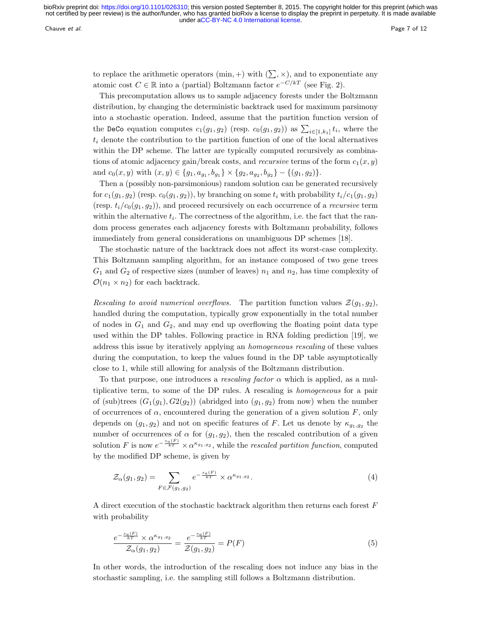to replace the arithmetic operators (min, +) with  $(\sum, \times)$ , and to exponentiate any atomic cost  $C \in \mathbb{R}$  into a (partial) Boltzmann factor  $e^{-C/kT}$  (see Fig. 2).

This precomputation allows us to sample adjacency forests under the Boltzmann distribution, by changing the deterministic backtrack used for maximum parsimony into a stochastic operation. Indeed, assume that the partition function version of the DeCo equation computes  $c_1(g_1, g_2)$  (resp.  $c_0(g_1, g_2)$ ) as  $\sum_{i \in [1, k_1]} t_i$ , where the  $t_i$  denote the contribution to the partition function of one of the local alternatives within the DP scheme. The latter are typically computed recursively as combinations of atomic adjacency gain/break costs, and *recursive* terms of the form  $c_1(x, y)$ and  $c_0(x, y)$  with  $(x, y) \in \{g_1, a_{g_1}, b_{g_1}\} \times \{g_2, a_{g_2}, b_{g_2}\} - \{(g_1, g_2)\}.$ 

Then a (possibly non-parsimonious) random solution can be generated recursively for  $c_1(g_1, g_2)$  (resp.  $c_0(g_1, g_2)$ ), by branching on some  $t_i$  with probability  $t_i/c_1(g_1, g_2)$ (resp.  $t_i/c_0(q_1, q_2)$ ), and proceed recursively on each occurrence of a *recursive* term within the alternative  $t_i$ . The correctness of the algorithm, i.e. the fact that the random process generates each adjacency forests with Boltzmann probability, follows immediately from general considerations on unambiguous DP schemes [18].

The stochastic nature of the backtrack does not affect its worst-case complexity. This Boltzmann sampling algorithm, for an instance composed of two gene trees  $G_1$  and  $G_2$  of respective sizes (number of leaves)  $n_1$  and  $n_2$ , has time complexity of  $\mathcal{O}(n_1 \times n_2)$  for each backtrack.

Rescaling to avoid numerical overflows. The partition function values  $\mathcal{Z}(g_1, g_2)$ , handled during the computation, typically grow exponentially in the total number of nodes in  $G_1$  and  $G_2$ , and may end up overflowing the floating point data type used within the DP tables. Following practice in RNA folding prediction [19], we address this issue by iteratively applying an homogeneous rescaling of these values during the computation, to keep the values found in the DP table asymptotically close to 1, while still allowing for analysis of the Boltzmann distribution.

To that purpose, one introduces a rescaling factor  $\alpha$  which is applied, as a multiplicative term, to some of the DP rules. A rescaling is homogeneous for a pair of (sub)trees  $(G_1(g_1), G_2(g_2))$  (abridged into  $(g_1, g_2)$  from now) when the number of occurrences of  $\alpha$ , encountered during the generation of a given solution  $F$ , only depends on  $(g_1, g_2)$  and not on specific features of F. Let us denote by  $\kappa_{g_1,g_2}$  the number of occurrences of  $\alpha$  for  $(g_1, g_2)$ , then the rescaled contribution of a given solution F is now  $e^{-\frac{s_a(F)}{kT}} \times \alpha^{\kappa_{g_1,g_2}}$ , while the *rescaled partition function*, computed by the modified DP scheme, is given by

$$
\mathcal{Z}_{\alpha}(g_1, g_2) = \sum_{F \in \mathcal{F}(g_1, g_2)} e^{-\frac{s_a(F)}{kT}} \times \alpha^{\kappa_{g_1, g_2}}.
$$
\n
$$
(4)
$$

A direct execution of the stochastic backtrack algorithm then returns each forest F with probability

$$
\frac{e^{-\frac{s_a(F)}{kT}} \times \alpha^{\kappa_{g_1, g_2}}}{\mathcal{Z}_{\alpha}(g_1, g_2)} = \frac{e^{-\frac{s_a(F)}{kT}}}{\mathcal{Z}(g_1, g_2)} = P(F)
$$
(5)

In other words, the introduction of the rescaling does not induce any bias in the stochastic sampling, i.e. the sampling still follows a Boltzmann distribution.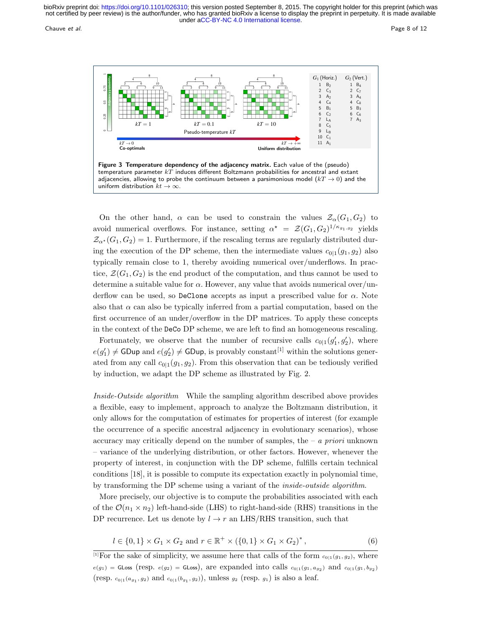

On the other hand,  $\alpha$  can be used to constrain the values  $\mathcal{Z}_{\alpha}(G_1, G_2)$  to avoid numerical overflows. For instance, setting  $\alpha^* = \mathcal{Z}(G_1, G_2)^{1/\kappa_{g_1, g_2}}$  yields  $\mathcal{Z}_{\alpha^*}(G_1, G_2) = 1$ . Furthermore, if the rescaling terms are regularly distributed during the execution of the DP scheme, then the intermediate values  $c_{0|1}(g_1, g_2)$  also typically remain close to 1, thereby avoiding numerical over/underflows. In practice,  $\mathcal{Z}(G_1, G_2)$  is the end product of the computation, and thus cannot be used to determine a suitable value for  $\alpha$ . However, any value that avoids numerical over/underflow can be used, so DeClone accepts as input a prescribed value for  $\alpha$ . Note also that  $\alpha$  can also be typically inferred from a partial computation, based on the first occurrence of an under/overflow in the DP matrices. To apply these concepts in the context of the DeCo DP scheme, we are left to find an homogeneous rescaling.

Fortunately, we observe that the number of recursive calls  $c_{0|1}(g'_1, g'_2)$ , where  $e(g'_1) \neq \text{G}$ Dup and  $e(g'_2) \neq \text{G}$ Dup, is provably constant<sup>[1]</sup> within the solutions generated from any call  $c_{0|1}(g_1, g_2)$ . From this observation that can be tediously verified by induction, we adapt the DP scheme as illustrated by Fig. 2.

Inside-Outside algorithm While the sampling algorithm described above provides a flexible, easy to implement, approach to analyze the Boltzmann distribution, it only allows for the computation of estimates for properties of interest (for example the occurrence of a specific ancestral adjacency in evolutionary scenarios), whose accuracy may critically depend on the number of samples, the  $- a$  priori unknown – variance of the underlying distribution, or other factors. However, whenever the property of interest, in conjunction with the DP scheme, fulfills certain technical conditions [18], it is possible to compute its expectation exactly in polynomial time, by transforming the DP scheme using a variant of the inside-outside algorithm.

More precisely, our objective is to compute the probabilities associated with each of the  $\mathcal{O}(n_1 \times n_2)$  left-hand-side (LHS) to right-hand-side (RHS) transitions in the DP recurrence. Let us denote by  $l \rightarrow r$  an LHS/RHS transition, such that

$$
l \in \{0, 1\} \times G_1 \times G_2
$$
 and  $r \in \mathbb{R}^+ \times (\{0, 1\} \times G_1 \times G_2)^*$ , (6)

<sup>[1]</sup>For the sake of simplicity, we assume here that calls of the form  $c_{0|1}(g_1, g_2)$ , where  $e(g_1)$  = GLoss (resp.  $e(g_2)$  = GLoss), are expanded into calls  $c_{0|1}(g_1, a_{g_2})$  and  $c_{0|1}(g_1, b_{g_2})$ (resp.  $c_{0|1}(a_{g_1}, g_2)$  and  $c_{0|1}(b_{g_1}, g_2)$ ), unless  $g_2$  (resp.  $g_1$ ) is also a leaf.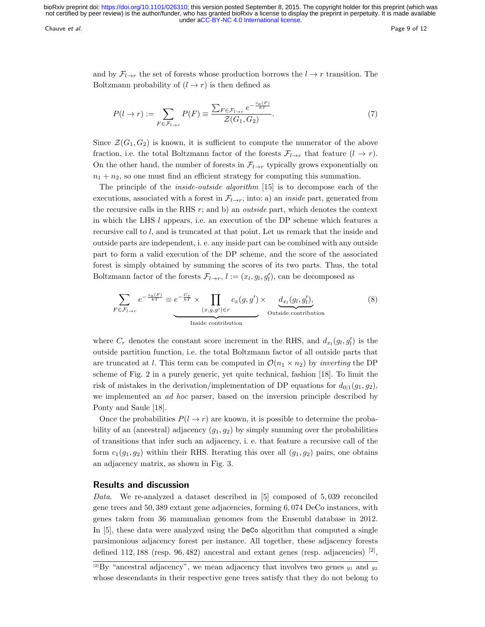Chauve *et al.* Page 9 of 12

and by  $\mathcal{F}_{l\to r}$  the set of forests whose production borrows the  $l \to r$  transition. The Boltzmann probability of  $(l \to r)$  is then defined as

$$
P(l \to r) := \sum_{F \in \mathcal{F}_{l \to r}} P(F) \equiv \frac{\sum_{F \in \mathcal{F}_{l \to r}} e^{-\frac{s_a(F)}{kT}}}{\mathcal{Z}(G_1, G_2)}.
$$
(7)

Since  $\mathcal{Z}(G_1, G_2)$  is known, it is sufficient to compute the numerator of the above fraction, i.e. the total Boltzmann factor of the forests  $\mathcal{F}_{l\to r}$  that feature  $(l \to r)$ . On the other hand, the number of forests in  $\mathcal{F}_{l\rightarrow r}$  typically grows exponentially on  $n_1 + n_2$ , so one must find an efficient strategy for computing this summation.

The principle of the inside-outside algorithm [15] is to decompose each of the executions, associated with a forest in  $\mathcal{F}_{l\rightarrow r}$ , into: a) an *inside* part, generated from the recursive calls in the RHS  $r$ ; and b) an *outside* part, which denotes the context in which the LHS l appears, i.e. an execution of the DP scheme which features a recursive call to l, and is truncated at that point. Let us remark that the inside and outside parts are independent, i. e. any inside part can be combined with any outside part to form a valid execution of the DP scheme, and the score of the associated forest is simply obtained by summing the scores of its two parts. Thus, the total Boltzmann factor of the forests  $\mathcal{F}_{l \to r}$ ,  $l := (x_l, g_l, g'_l)$ , can be decomposed as

$$
\sum_{F \in \mathcal{F}_{l \to r}} e^{-\frac{s_a(F)}{kT}} \equiv e^{-\frac{C_r}{kT}} \times \prod_{(x,g,g') \in r} c_x(g,g') \times \underbrace{d_{x_l}(g_l,g'_l)}_{\text{Outside contribution}},
$$
\n(8)

where  $C_r$  denotes the constant score increment in the RHS, and  $d_{x_l}(g_l, g_l')$  is the outside partition function, i.e. the total Boltzmann factor of all outside parts that are truncated at l. This term can be computed in  $\mathcal{O}(n_1 \times n_2)$  by inverting the DP scheme of Fig. 2 in a purely generic, yet quite technical, fashion [18]. To limit the risk of mistakes in the derivation/implementation of DP equations for  $d_{01}(g_1, g_2)$ , we implemented an *ad hoc* parser, based on the inversion principle described by Ponty and Saule [18].

Once the probabilities  $P(l \to r)$  are known, it is possible to determine the probability of an (ancestral) adjacency  $(g_1, g_2)$  by simply summing over the probabilities of transitions that infer such an adjacency, i. e. that feature a recursive call of the form  $c_1(g_1, g_2)$  within their RHS. Iterating this over all  $(g_1, g_2)$  pairs, one obtains an adjacency matrix, as shown in Fig. 3.

## Results and discussion

Data. We re-analyzed a dataset described in  $[5]$  composed of 5,039 reconciled gene trees and 50, 389 extant gene adjacencies, forming 6, 074 DeCo instances, with genes taken from 36 mammalian genomes from the Ensembl database in 2012. In [5], these data were analyzed using the DeCo algorithm that computed a single parsimonious adjacency forest per instance. All together, these adjacency forests defined 112, 188 (resp. 96, 482) ancestral and extant genes (resp. adjacencies)  $[2]$ ,

<sup>&</sup>lt;sup>[2]</sup>By "ancestral adjacency", we mean adjacency that involves two genes  $g_1$  and  $g_2$ whose descendants in their respective gene trees satisfy that they do not belong to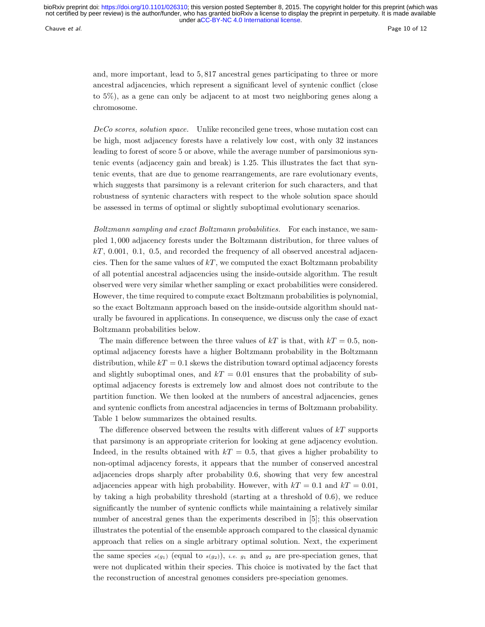Chauve *et al.* Page 10 of 12

and, more important, lead to 5, 817 ancestral genes participating to three or more ancestral adjacencies, which represent a significant level of syntenic conflict (close to 5%), as a gene can only be adjacent to at most two neighboring genes along a chromosome.

 $DeCo$  scores, solution space. Unlike reconciled gene trees, whose mutation cost can be high, most adjacency forests have a relatively low cost, with only 32 instances leading to forest of score 5 or above, while the average number of parsimonious syntenic events (adjacency gain and break) is 1.25. This illustrates the fact that syntenic events, that are due to genome rearrangements, are rare evolutionary events, which suggests that parsimony is a relevant criterion for such characters, and that robustness of syntenic characters with respect to the whole solution space should be assessed in terms of optimal or slightly suboptimal evolutionary scenarios.

Boltzmann sampling and exact Boltzmann probabilities. For each instance, we sampled 1, 000 adjacency forests under the Boltzmann distribution, for three values of  $kT$ , 0.001, 0.1, 0.5, and recorded the frequency of all observed ancestral adjacencies. Then for the same values of  $kT$ , we computed the exact Boltzmann probability of all potential ancestral adjacencies using the inside-outside algorithm. The result observed were very similar whether sampling or exact probabilities were considered. However, the time required to compute exact Boltzmann probabilities is polynomial, so the exact Boltzmann approach based on the inside-outside algorithm should naturally be favoured in applications. In consequence, we discuss only the case of exact Boltzmann probabilities below.

The main difference between the three values of kT is that, with  $kT = 0.5$ , nonoptimal adjacency forests have a higher Boltzmann probability in the Boltzmann distribution, while  $kT = 0.1$  skews the distribution toward optimal adjacency forests and slightly suboptimal ones, and  $kT = 0.01$  ensures that the probability of suboptimal adjacency forests is extremely low and almost does not contribute to the partition function. We then looked at the numbers of ancestral adjacencies, genes and syntenic conflicts from ancestral adjacencies in terms of Boltzmann probability. Table 1 below summarizes the obtained results.

The difference observed between the results with different values of  $kT$  supports that parsimony is an appropriate criterion for looking at gene adjacency evolution. Indeed, in the results obtained with  $kT = 0.5$ , that gives a higher probability to non-optimal adjacency forests, it appears that the number of conserved ancestral adjacencies drops sharply after probability 0.6, showing that very few ancestral adjacencies appear with high probability. However, with  $kT = 0.1$  and  $kT = 0.01$ , by taking a high probability threshold (starting at a threshold of 0.6), we reduce significantly the number of syntenic conflicts while maintaining a relatively similar number of ancestral genes than the experiments described in [5]; this observation illustrates the potential of the ensemble approach compared to the classical dynamic approach that relies on a single arbitrary optimal solution. Next, the experiment

the same species  $s(g_1)$  (equal to  $s(g_2)$ ), *i.e.*  $g_1$  and  $g_2$  are pre-speciation genes, that were not duplicated within their species. This choice is motivated by the fact that the reconstruction of ancestral genomes considers pre-speciation genomes.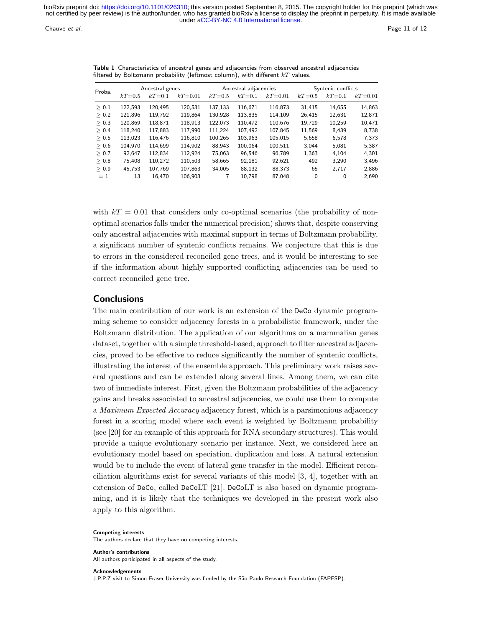Chauve *et al.* Page 11 of 12

| Proba. | Ancestral genes |            | Ancestral adjacencies |            |            | Syntenic conflicts |            |            |             |
|--------|-----------------|------------|-----------------------|------------|------------|--------------------|------------|------------|-------------|
|        | $kT = 0.5$      | $kT = 0.1$ | $kT = 0.01$           | $kT = 0.5$ | $kT = 0.1$ | $kT = 0.01$        | $kT = 0.5$ | $kT = 0.1$ | $kT = 0.01$ |
| > 0.1  | 122,593         | 120.495    | 120,531               | 137,133    | 116,671    | 116,873            | 31,415     | 14,655     | 14,863      |
| > 0.2  | 121.896         | 119.792    | 119.864               | 130.928    | 113.835    | 114.109            | 26.415     | 12.631     | 12,871      |
| > 0.3  | 120,869         | 118,871    | 118,913               | 122,073    | 110,472    | 110,676            | 19,729     | 10,259     | 10,471      |
| > 0.4  | 118.240         | 117,883    | 117.990               | 111,224    | 107.492    | 107,845            | 11,569     | 8.439      | 8.738       |
| > 0.5  | 113,023         | 116,476    | 116,810               | 100,265    | 103,963    | 105,015            | 5,658      | 6,578      | 7.373       |
| > 0.6  | 104.970         | 114.699    | 114.902               | 88.943     | 100.064    | 100.511            | 3.044      | 5,081      | 5.387       |
| > 0.7  | 92.647          | 112.834    | 112.924               | 75.063     | 96.546     | 96.789             | 1.363      | 4.104      | 4.301       |
| > 0.8  | 75.408          | 110,272    | 110.503               | 58,665     | 92.181     | 92.621             | 492        | 3.290      | 3.496       |
| > 0.9  | 45.753          | 107.769    | 107.863               | 34.005     | 88.132     | 88.373             | 65         | 2.717      | 2.886       |
| $=1$   | 13              | 16.470     | 106,903               |            | 10,798     | 87,048             | 0          | 0          | 2,690       |

Table 1 Characteristics of ancestral genes and adjacencies from observed ancestral adjacencies filtered by Boltzmann probability (leftmost column), with different  $kT$  values.

with  $kT = 0.01$  that considers only co-optimal scenarios (the probability of nonoptimal scenarios falls under the numerical precision) shows that, despite conserving only ancestral adjacencies with maximal support in terms of Boltzmann probability, a significant number of syntenic conflicts remains. We conjecture that this is due to errors in the considered reconciled gene trees, and it would be interesting to see if the information about highly supported conflicting adjacencies can be used to correct reconciled gene tree.

## **Conclusions**

The main contribution of our work is an extension of the DeCo dynamic programming scheme to consider adjacency forests in a probabilistic framework, under the Boltzmann distribution. The application of our algorithms on a mammalian genes dataset, together with a simple threshold-based, approach to filter ancestral adjacencies, proved to be effective to reduce significantly the number of syntenic conflicts, illustrating the interest of the ensemble approach. This preliminary work raises several questions and can be extended along several lines. Among them, we can cite two of immediate interest. First, given the Boltzmann probabilities of the adjacency gains and breaks associated to ancestral adjacencies, we could use them to compute a Maximum Expected Accuracy adjacency forest, which is a parsimonious adjacency forest in a scoring model where each event is weighted by Boltzmann probability (see [20] for an example of this approach for RNA secondary structures). This would provide a unique evolutionary scenario per instance. Next, we considered here an evolutionary model based on speciation, duplication and loss. A natural extension would be to include the event of lateral gene transfer in the model. Efficient reconciliation algorithms exist for several variants of this model [3, 4], together with an extension of DeCo, called DeCoLT [21]. DeCoLT is also based on dynamic programming, and it is likely that the techniques we developed in the present work also apply to this algorithm.

#### Competing interests

The authors declare that they have no competing interests.

Author's contributions All authors participated in all aspects of the study.

#### Acknowledgements

J.P.P.Z visit to Simon Fraser University was funded by the São Paulo Research Foundation (FAPESP).